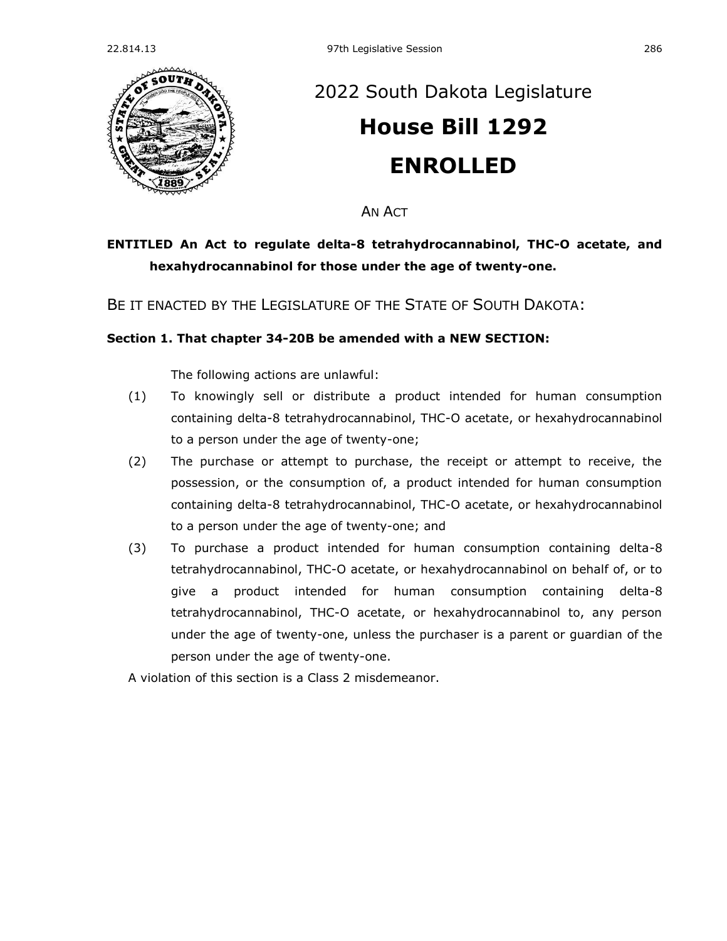

## [2022 South Dakota Legislature](https://sdlegislature.gov/Session/Bills/64) **[House Bill 1292](https://sdlegislature.gov/Session/Bill/23385) ENROLLED**

AN ACT

## **ENTITLED An Act to regulate delta-8 tetrahydrocannabinol, THC-O acetate, and hexahydrocannabinol for those under the age of twenty-one.**

BE IT ENACTED BY THE LEGISLATURE OF THE STATE OF SOUTH DAKOTA:

## **Section 1. That chapter [34-20B](https://sdlegislature.gov/Statutes?Statute=34-20B) be amended with a NEW SECTION:**

The following actions are unlawful:

- (1) To knowingly sell or distribute a product intended for human consumption containing delta-8 tetrahydrocannabinol, THC-O acetate, or hexahydrocannabinol to a person under the age of twenty-one;
- (2) The purchase or attempt to purchase, the receipt or attempt to receive, the possession, or the consumption of, a product intended for human consumption containing delta-8 tetrahydrocannabinol, THC-O acetate, or hexahydrocannabinol to a person under the age of twenty-one; and
- (3) To purchase a product intended for human consumption containing delta-8 tetrahydrocannabinol, THC-O acetate, or hexahydrocannabinol on behalf of, or to give a product intended for human consumption containing delta-8 tetrahydrocannabinol, THC-O acetate, or hexahydrocannabinol to, any person under the age of twenty-one, unless the purchaser is a parent or guardian of the person under the age of twenty-one.

A violation of this section is a Class 2 misdemeanor.